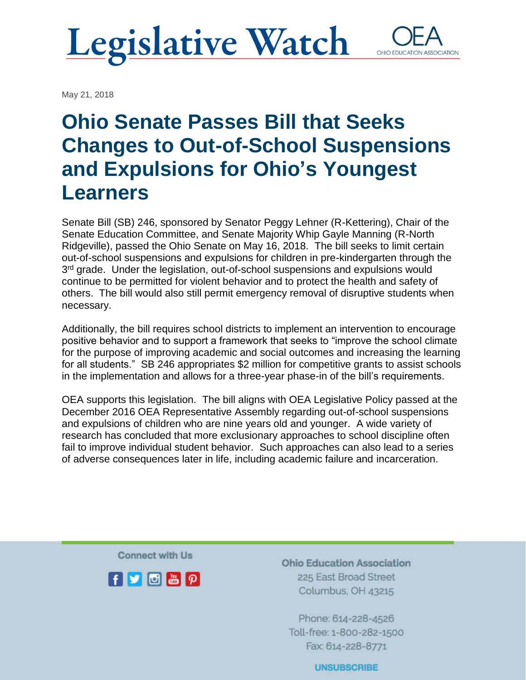## **Legislative Watch** OHIO EDUCATI

May 21, 2018

# **Ohio Senate Passes Bill that Seeks Changes to Out-of-School Suspensions and Expulsions for Ohio's Youngest Learners**

Senate Bill (SB) 246, sponsored by Senator Peggy Lehner (R-Kettering), Chair of the Senate Education Committee, and Senate Majority Whip Gayle Manning (R-North Ridgeville), passed the Ohio Senate on May 16, 2018. The bill seeks to limit certain out-of-school suspensions and expulsions for children in pre-kindergarten through the 3<sup>rd</sup> grade. Under the legislation, out-of-school suspensions and expulsions would continue to be permitted for violent behavior and to protect the health and safety of others. The bill would also still permit emergency removal of disruptive students when necessary.

Additionally, the bill requires school districts to implement an intervention to encourage positive behavior and to support a framework that seeks to "improve the school climate for the purpose of improving academic and social outcomes and increasing the learning for all students." SB 246 appropriates \$2 million for competitive grants to assist schools in the implementation and allows for a three-year phase-in of the bill's requirements.

OEA supports this legislation. The bill aligns with OEA Legislative Policy passed at the December 2016 OEA Representative Assembly regarding out-of-school suspensions and expulsions of children who are nine years old and younger. A wide variety of research has concluded that more exclusionary approaches to school discipline often fail to improve individual student behavior. Such approaches can also lead to a series of adverse consequences later in life, including academic failure and incarceration.

**Connect with Us** 



**Ohio Education Association** 225 East Broad Street Columbus, OH 43215

Phone: 614-228-4526 Toll-free: 1-800-282-1500 Fax: 614-228-8771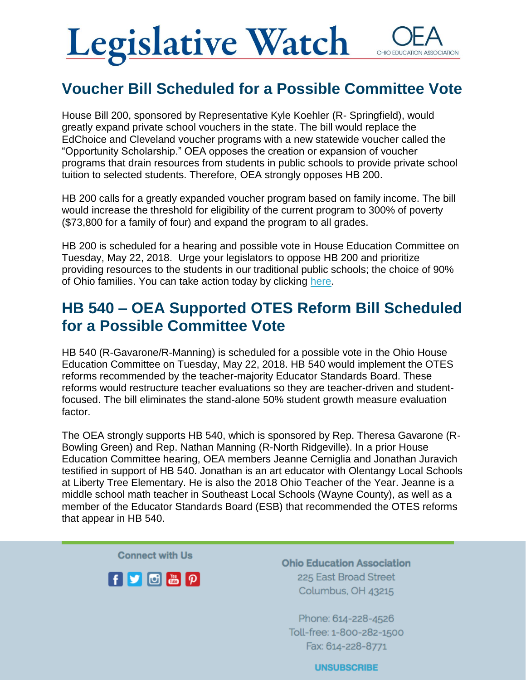# **Legislative Watch** OHIO FDUCAT

#### **Voucher Bill Scheduled for a Possible Committee Vote**

House Bill 200, sponsored by Representative Kyle Koehler (R- Springfield), would greatly expand private school vouchers in the state. The bill would replace the EdChoice and Cleveland voucher programs with a new statewide voucher called the "Opportunity Scholarship." OEA opposes the creation or expansion of voucher programs that drain resources from students in public schools to provide private school tuition to selected students. Therefore, OEA strongly opposes HB 200.

HB 200 calls for a greatly expanded voucher program based on family income. The bill would increase the threshold for eligibility of the current program to 300% of poverty (\$73,800 for a family of four) and expand the program to all grades.

HB 200 is scheduled for a hearing and possible vote in House Education Committee on Tuesday, May 22, 2018. Urge your legislators to oppose HB 200 and prioritize providing resources to the students in our traditional public schools; the choice of 90% of Ohio families. You can take action today by clicking [here.](https://www.ohea.org/?post_type=actions&p=10468&preview=true)

#### **HB 540 – OEA Supported OTES Reform Bill Scheduled for a Possible Committee Vote**

HB 540 (R-Gavarone/R-Manning) is scheduled for a possible vote in the Ohio House Education Committee on Tuesday, May 22, 2018. HB 540 would implement the OTES reforms recommended by the teacher-majority Educator Standards Board. These reforms would restructure teacher evaluations so they are teacher-driven and studentfocused. The bill eliminates the stand-alone 50% student growth measure evaluation factor.

The OEA strongly supports HB 540, which is sponsored by Rep. Theresa Gavarone (R-Bowling Green) and Rep. Nathan Manning (R-North Ridgeville). In a prior House Education Committee hearing, OEA members Jeanne Cerniglia and Jonathan Juravich testified in support of HB 540. Jonathan is an art educator with Olentangy Local Schools at Liberty Tree Elementary. He is also the 2018 Ohio Teacher of the Year. Jeanne is a middle school math teacher in Southeast Local Schools (Wayne County), as well as a member of the Educator Standards Board (ESB) that recommended the OTES reforms that appear in HB 540.

**Connect with Us** 



**Ohio Education Association** 225 East Broad Street Columbus, OH 43215

Phone: 614-228-4526 Toll-free: 1-800-282-1500 Fax: 614-228-8771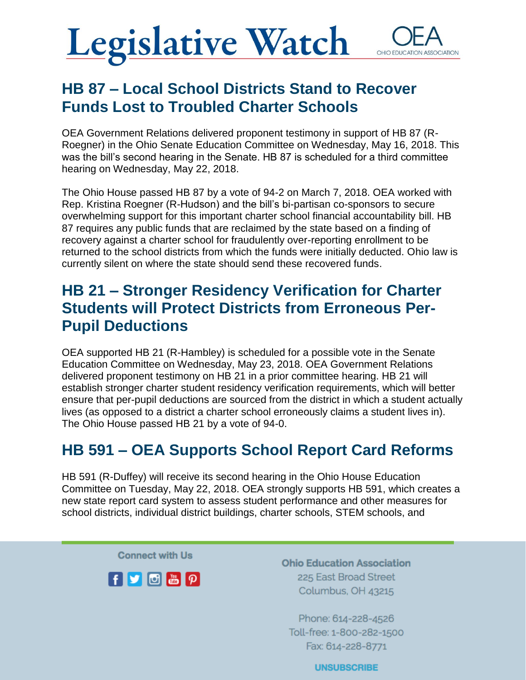## **Legislative Watch** OHIO EDUCATION ASSOCIATION

### **HB 87 – Local School Districts Stand to Recover Funds Lost to Troubled Charter Schools**

OEA Government Relations delivered proponent testimony in support of HB 87 (R-Roegner) in the Ohio Senate Education Committee on Wednesday, May 16, 2018. This was the bill's second hearing in the Senate. HB 87 is scheduled for a third committee hearing on Wednesday, May 22, 2018.

The Ohio House passed HB 87 by a vote of 94-2 on March 7, 2018. OEA worked with Rep. Kristina Roegner (R-Hudson) and the bill's bi-partisan co-sponsors to secure overwhelming support for this important charter school financial accountability bill. HB 87 requires any public funds that are reclaimed by the state based on a finding of recovery against a charter school for fraudulently over-reporting enrollment to be returned to the school districts from which the funds were initially deducted. Ohio law is currently silent on where the state should send these recovered funds.

#### **HB 21 – Stronger Residency Verification for Charter Students will Protect Districts from Erroneous Per-Pupil Deductions**

OEA supported HB 21 (R-Hambley) is scheduled for a possible vote in the Senate Education Committee on Wednesday, May 23, 2018. OEA Government Relations delivered proponent testimony on HB 21 in a prior committee hearing. HB 21 will establish stronger charter student residency verification requirements, which will better ensure that per-pupil deductions are sourced from the district in which a student actually lives (as opposed to a district a charter school erroneously claims a student lives in). The Ohio House passed HB 21 by a vote of 94-0.

### **HB 591 – OEA Supports School Report Card Reforms**

HB 591 (R-Duffey) will receive its second hearing in the Ohio House Education Committee on Tuesday, May 22, 2018. OEA strongly supports HB 591, which creates a new state report card system to assess student performance and other measures for school districts, individual district buildings, charter schools, STEM schools, and

**Connect with Us** 



**Ohio Education Association** 225 East Broad Street Columbus, OH 43215

Phone: 614-228-4526 Toll-free: 1-800-282-1500 Fax: 614-228-8771